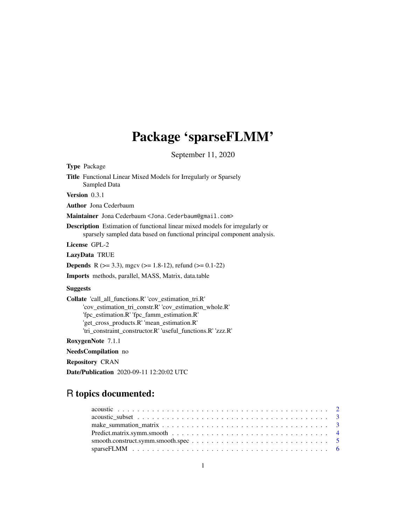## Package 'sparseFLMM'

September 11, 2020

<span id="page-0-0"></span>Type Package

Title Functional Linear Mixed Models for Irregularly or Sparsely Sampled Data

Version 0.3.1

Author Jona Cederbaum

Maintainer Jona Cederbaum <Jona.Cederbaum@gmail.com>

Description Estimation of functional linear mixed models for irregularly or sparsely sampled data based on functional principal component analysis.

License GPL-2

LazyData TRUE

**Depends** R ( $>= 3.3$ ), mgcv ( $>= 1.8-12$ ), refund ( $>= 0.1-22$ )

Imports methods, parallel, MASS, Matrix, data.table

#### **Suggests**

Collate 'call\_all\_functions.R' 'cov\_estimation\_tri.R' 'cov\_estimation\_tri\_constr.R' 'cov\_estimation\_whole.R' 'fpc\_estimation.R' 'fpc\_famm\_estimation.R' 'get\_cross\_products.R' 'mean\_estimation.R' 'tri\_constraint\_constructor.R' 'useful\_functions.R' 'zzz.R'

RoxygenNote 7.1.1

NeedsCompilation no

Repository CRAN

Date/Publication 2020-09-11 12:20:02 UTC

## R topics documented: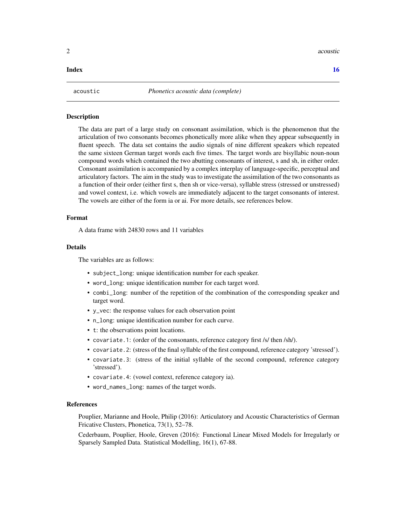<span id="page-1-0"></span>2 acoustic and  $\alpha$  acoustic and  $\alpha$  acoustic and  $\alpha$  acoustic and  $\alpha$  acoustic

#### **Index** the contract of the contract of the contract of the contract of the contract of the contract of the contract of the contract of the contract of the contract of the contract of the contract of the contract of the co

<span id="page-1-1"></span>

#### Description

The data are part of a large study on consonant assimilation, which is the phenomenon that the articulation of two consonants becomes phonetically more alike when they appear subsequently in fluent speech. The data set contains the audio signals of nine different speakers which repeated the same sixteen German target words each five times. The target words are bisyllabic noun-noun compound words which contained the two abutting consonants of interest, s and sh, in either order. Consonant assimilation is accompanied by a complex interplay of language-specific, perceptual and articulatory factors. The aim in the study was to investigate the assimilation of the two consonants as a function of their order (either first s, then sh or vice-versa), syllable stress (stressed or unstressed) and vowel context, i.e. which vowels are immediately adjacent to the target consonants of interest. The vowels are either of the form ia or ai. For more details, see references below.

#### Format

A data frame with 24830 rows and 11 variables

#### **Details**

The variables are as follows:

- subject\_long: unique identification number for each speaker.
- word\_long: unique identification number for each target word.
- combi\_long: number of the repetition of the combination of the corresponding speaker and target word.
- y\_vec: the response values for each observation point
- n\_long: unique identification number for each curve.
- t: the observations point locations.
- covariate.1: (order of the consonants, reference category first /s/ then /sh/).
- covariate.2: (stress of the final syllable of the first compound, reference category 'stressed').
- covariate.3: (stress of the initial syllable of the second compound, reference category 'stressed').
- covariate.4: (vowel context, reference category ia).
- word\_names\_long: names of the target words.

#### References

Pouplier, Marianne and Hoole, Philip (2016): Articulatory and Acoustic Characteristics of German Fricative Clusters, Phonetica, 73(1), 52–78.

Cederbaum, Pouplier, Hoole, Greven (2016): Functional Linear Mixed Models for Irregularly or Sparsely Sampled Data. Statistical Modelling, 16(1), 67-88.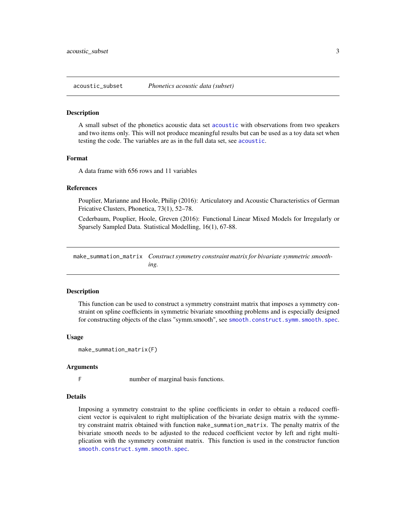<span id="page-2-0"></span>

#### **Description**

A small subset of the phonetics acoustic data set [acoustic](#page-1-1) with observations from two speakers and two items only. This will not produce meaningful results but can be used as a toy data set when testing the code. The variables are as in the full data set, see [acoustic](#page-1-1).

#### Format

A data frame with 656 rows and 11 variables

#### References

Pouplier, Marianne and Hoole, Philip (2016): Articulatory and Acoustic Characteristics of German Fricative Clusters, Phonetica, 73(1), 52–78.

Cederbaum, Pouplier, Hoole, Greven (2016): Functional Linear Mixed Models for Irregularly or Sparsely Sampled Data. Statistical Modelling, 16(1), 67-88.

<span id="page-2-1"></span>make\_summation\_matrix *Construct symmetry constraint matrix for bivariate symmetric smoothing.*

#### Description

This function can be used to construct a symmetry constraint matrix that imposes a symmetry constraint on spline coefficients in symmetric bivariate smoothing problems and is especially designed for constructing objects of the class "symm.smooth", see [smooth.construct.symm.smooth.spec](#page-4-1).

#### Usage

```
make_summation_matrix(F)
```
#### Arguments

F number of marginal basis functions.

#### Details

Imposing a symmetry constraint to the spline coefficients in order to obtain a reduced coefficient vector is equivalent to right multiplication of the bivariate design matrix with the symmetry constraint matrix obtained with function make\_summation\_matrix. The penalty matrix of the bivariate smooth needs to be adjusted to the reduced coefficient vector by left and right multiplication with the symmetry constraint matrix. This function is used in the constructor function [smooth.construct.symm.smooth.spec](#page-4-1).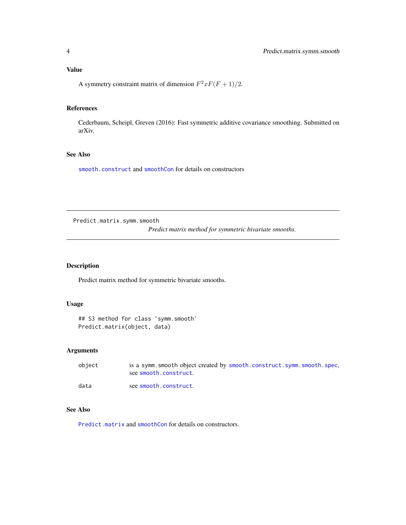#### <span id="page-3-0"></span>Value

A symmetry constraint matrix of dimension  $F^2xF(F+1)/2$ .

#### References

Cederbaum, Scheipl, Greven (2016): Fast symmetric additive covariance smoothing. Submitted on arXiv.

#### See Also

[smooth.construct](#page-0-0) and [smoothCon](#page-0-0) for details on constructors

Predict.matrix.symm.smooth

*Predict matrix method for symmetric bivariate smooths.*

#### Description

Predict matrix method for symmetric bivariate smooths.

#### Usage

```
## S3 method for class 'symm.smooth'
Predict.matrix(object, data)
```
#### Arguments

| object | is a symm. smooth object created by smooth. construct. symm. smooth. spec.<br>see smooth.construct. |
|--------|-----------------------------------------------------------------------------------------------------|
| data   | see smooth.construct.                                                                               |

#### See Also

[Predict.matrix](#page-0-0) and [smoothCon](#page-0-0) for details on constructors.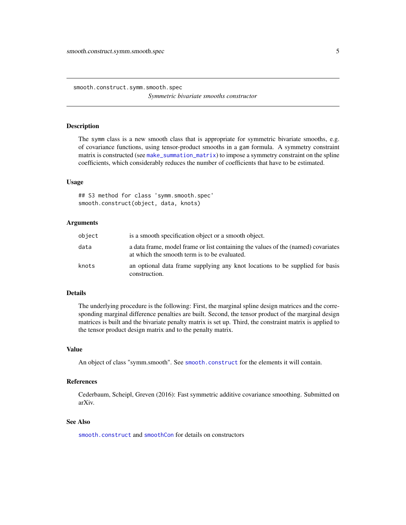<span id="page-4-1"></span><span id="page-4-0"></span>smooth.construct.symm.smooth.spec *Symmetric bivariate smooths constructor*

#### Description

The symm class is a new smooth class that is appropriate for symmetric bivariate smooths, e.g. of covariance functions, using tensor-product smooths in a gam formula. A symmetry constraint matrix is constructed (see [make\\_summation\\_matrix](#page-2-1)) to impose a symmetry constraint on the spline coefficients, which considerably reduces the number of coefficients that have to be estimated.

#### Usage

## S3 method for class 'symm.smooth.spec' smooth.construct(object, data, knots)

#### Arguments

| object | is a smooth specification object or a smooth object.                                                                              |
|--------|-----------------------------------------------------------------------------------------------------------------------------------|
| data   | a data frame, model frame or list containing the values of the (named) covariates<br>at which the smooth term is to be evaluated. |
| knots  | an optional data frame supplying any knot locations to be supplied for basis<br>construction.                                     |

#### Details

The underlying procedure is the following: First, the marginal spline design matrices and the corresponding marginal difference penalties are built. Second, the tensor product of the marginal design matrices is built and the bivariate penalty matrix is set up. Third, the constraint matrix is applied to the tensor product design matrix and to the penalty matrix.

#### Value

An object of class "symm.smooth". See [smooth.construct](#page-0-0) for the elements it will contain.

#### References

Cederbaum, Scheipl, Greven (2016): Fast symmetric additive covariance smoothing. Submitted on arXiv.

#### See Also

[smooth.construct](#page-0-0) and [smoothCon](#page-0-0) for details on constructors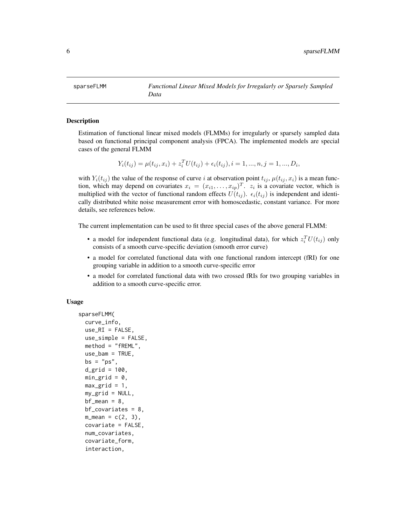<span id="page-5-1"></span><span id="page-5-0"></span>

#### Description

Estimation of functional linear mixed models (FLMMs) for irregularly or sparsely sampled data based on functional principal component analysis (FPCA). The implemented models are special cases of the general FLMM

$$
Y_i(t_{ij}) = \mu(t_{ij}, x_i) + z_i^T U(t_{ij}) + \epsilon_i(t_{ij}), i = 1, ..., n, j = 1, ..., D_i,
$$

with  $Y_i(t_{ij})$  the value of the response of curve i at observation point  $t_{ij}$ ,  $\mu(t_{ij}, x_i)$  is a mean function, which may depend on covariates  $x_i = (x_{i1}, \dots, x_{ip})^T$ .  $z_i$  is a covariate vector, which is multiplied with the vector of functional random effects  $U(t_{ij})$ .  $\epsilon_i(t_{ij})$  is independent and identically distributed white noise measurement error with homoscedastic, constant variance. For more details, see references below.

The current implementation can be used to fit three special cases of the above general FLMM:

- a model for independent functional data (e.g. longitudinal data), for which  $z_i^T U(t_{ij})$  only consists of a smooth curve-specific deviation (smooth error curve)
- a model for correlated functional data with one functional random intercept (fRI) for one grouping variable in addition to a smooth curve-specific error
- a model for correlated functional data with two crossed fRIs for two grouping variables in addition to a smooth curve-specific error.

#### Usage

```
sparseFLMM(
  curve_info,
  use_RI = FALSE,use_simple = FALSE,
 method = "fREML",
 use_bam = TRUE,
 bs = "ps",d_{grid} = 100,
 min\_grid = 0,
 max\_grid = 1,
 my\_grid = NULL,bf_mean = 8,
 bf_{covariates} = 8.
 m_mean = c(2, 3),covariate = FALSE,
  num_covariates,
  covariate_form,
  interaction,
```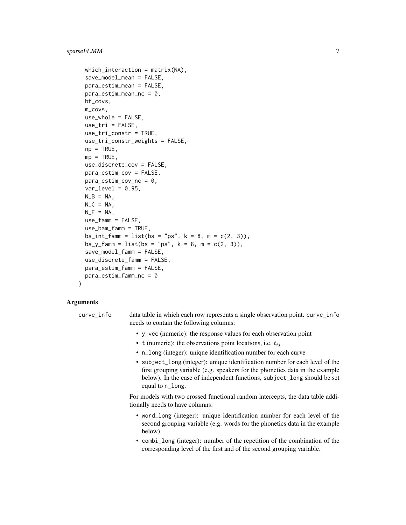```
which_interaction = matrix(NA),
save_model_mean = FALSE,
para_estim_mean = FALSE,
para_testim_mean_nc = 0,bf_covs,
m_covs,
use_whole = FALSE,
use_tri = FALSE,use_tri_constr = TRUE,
use_tri_constr_weights = FALSE,
np = TRUE,mp = TRUE,use_discrete_cov = FALSE,
para_estim_cov = FALSE,
para\_estim\_cov_nc = 0,
var_{level} = 0.95,
N_B = NA,
N_C = NA,
N_E = NA,
use_famm = FALSE,
use_bam_famm = TRUE,
bs_int_famm = list(bs = "ps", k = 8, m = c(2, 3)),
bs_y_f = 1ist(bs = "ps", k = 8, m = c(2, 3)),save_model_famm = FALSE,
use_discrete_famm = FALSE,
para_estim_famm = FALSE,
para_estim_famm_nc = 0
```
## Arguments

)

- curve\_info data table in which each row represents a single observation point. curve\_info needs to contain the following columns:
	- y\_vec (numeric): the response values for each observation point
	- t (numeric): the observations point locations, i.e.  $t_{ij}$
	- n\_long (integer): unique identification number for each curve
	- subject\_long (integer): unique identification number for each level of the first grouping variable (e.g. speakers for the phonetics data in the example below). In the case of independent functions, subject\_long should be set equal to n\_long.

For models with two crossed functional random intercepts, the data table additionally needs to have columns:

- word\_long (integer): unique identification number for each level of the second grouping variable (e.g. words for the phonetics data in the example below)
- combi\_long (integer): number of the repetition of the combination of the corresponding level of the first and of the second grouping variable.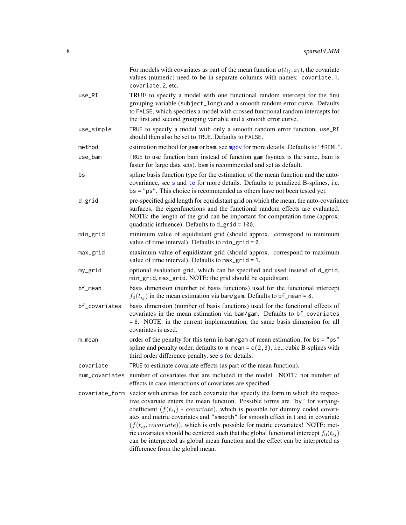<span id="page-7-0"></span>

| For models with covariates as part of the mean function $\mu(t_{ij}, x_i)$ , the covariate<br>values (numeric) need to be in separate columns with names: covariate.1,<br>covariate.2, etc.                                                                                                                                                                                                                                                                                                                                                                                                                                                                          |
|----------------------------------------------------------------------------------------------------------------------------------------------------------------------------------------------------------------------------------------------------------------------------------------------------------------------------------------------------------------------------------------------------------------------------------------------------------------------------------------------------------------------------------------------------------------------------------------------------------------------------------------------------------------------|
| TRUE to specify a model with one functional random intercept for the first<br>grouping variable (subject_long) and a smooth random error curve. Defaults<br>to FALSE, which specifies a model with crossed functional random intercepts for<br>the first and second grouping variable and a smooth error curve.                                                                                                                                                                                                                                                                                                                                                      |
| TRUE to specify a model with only a smooth random error function, use_RI<br>should then also be set to TRUE. Defaults to FALSE.                                                                                                                                                                                                                                                                                                                                                                                                                                                                                                                                      |
| estimation method for gam or bam, see mgcv for more details. Defaults to "fREML".                                                                                                                                                                                                                                                                                                                                                                                                                                                                                                                                                                                    |
| TRUE to use function bam instead of function gam (syntax is the same, bam is<br>faster for large data sets). bam is recommended and set as default.                                                                                                                                                                                                                                                                                                                                                                                                                                                                                                                  |
| spline basis function type for the estimation of the mean function and the auto-<br>covariance, see s and te for more details. Defaults to penalized B-splines, i.e.<br>bs = "ps". This choice is recommended as others have not been tested yet.                                                                                                                                                                                                                                                                                                                                                                                                                    |
| pre-specified grid length for equidistant grid on which the mean, the auto-covariance<br>surfaces, the eigenfunctions and the functional random effects are evaluated.<br>NOTE: the length of the grid can be important for computation time (approx.<br>quadratic influence). Defaults to d_grid = 100.                                                                                                                                                                                                                                                                                                                                                             |
| minimum value of equidistant grid (should approx. correspond to minimum<br>value of time interval). Defaults to $min\_grid = 0$ .                                                                                                                                                                                                                                                                                                                                                                                                                                                                                                                                    |
| maximum value of equidistant grid (should approx. correspond to maximum<br>value of time interval). Defaults to $max_g$ rid = 1.                                                                                                                                                                                                                                                                                                                                                                                                                                                                                                                                     |
| optional evaluation grid, which can be specified and used instead of d_grid,<br>min_grid, max_grid. NOTE: the grid should be equidistant.                                                                                                                                                                                                                                                                                                                                                                                                                                                                                                                            |
| basis dimension (number of basis functions) used for the functional intercept<br>$f_0(t_{ij})$ in the mean estimation via bam/gam. Defaults to bf_mean = 8.                                                                                                                                                                                                                                                                                                                                                                                                                                                                                                          |
| basis dimension (number of basis functions) used for the functional effects of<br>covariates in the mean estimation via bam/gam. Defaults to bf_covariates<br>= 8. NOTE: in the current implementation, the same basis dimension for all<br>covariates is used.                                                                                                                                                                                                                                                                                                                                                                                                      |
| order of the penalty for this term in bam/gam of mean estimation, for $bs = "ps"$<br>spline and penalty order, defaults to $m_{\text{mean}} = c(2, 3)$ , i.e., cubic B-splines with<br>third order difference penalty, see s for details.                                                                                                                                                                                                                                                                                                                                                                                                                            |
| TRUE to estimate covariate effects (as part of the mean function).                                                                                                                                                                                                                                                                                                                                                                                                                                                                                                                                                                                                   |
| number of covariates that are included in the model. NOTE: not number of<br>effects in case interactions of covariates are specified.                                                                                                                                                                                                                                                                                                                                                                                                                                                                                                                                |
| covariate_form vector with entries for each covariate that specify the form in which the respec-<br>tive covariate enters the mean function. Possible forms are "by" for varying-<br>coefficient $(f(t_{ij}) * covariate)$ , which is possible for dummy coded covari-<br>ates and metric covariates and "smooth" for smooth effect in t and in covariate<br>$(f(t_{ij}, covariate))$ , which is only possible for metric covariates! NOTE: met-<br>ric covariates should be centered such that the global functional intercept $f_0(t_{ij})$<br>can be interpreted as global mean function and the effect can be interpreted as<br>difference from the global mean. |
|                                                                                                                                                                                                                                                                                                                                                                                                                                                                                                                                                                                                                                                                      |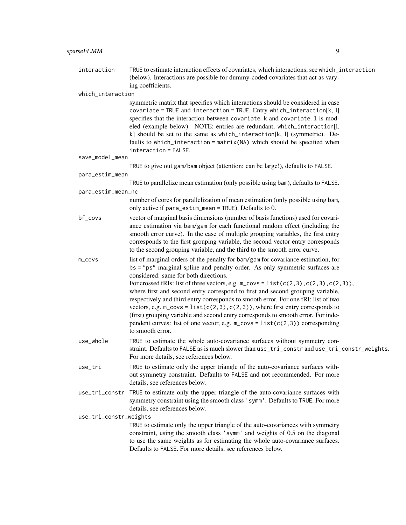### sparseFLMM 9

| interaction            | TRUE to estimate interaction effects of covariates, which interactions, see which_interaction<br>(below). Interactions are possible for dummy-coded covariates that act as vary-<br>ing coefficients.                                                                                                                                                                                                                                                                                                                                                                                                                                                                                                                                                                                                          |
|------------------------|----------------------------------------------------------------------------------------------------------------------------------------------------------------------------------------------------------------------------------------------------------------------------------------------------------------------------------------------------------------------------------------------------------------------------------------------------------------------------------------------------------------------------------------------------------------------------------------------------------------------------------------------------------------------------------------------------------------------------------------------------------------------------------------------------------------|
| which_interaction      |                                                                                                                                                                                                                                                                                                                                                                                                                                                                                                                                                                                                                                                                                                                                                                                                                |
|                        | symmetric matrix that specifies which interactions should be considered in case<br>covariate = TRUE and interaction = TRUE. Entry which_interaction[k, l]<br>specifies that the interaction between covariate.k and covariate.l is mod-<br>eled (example below). NOTE: entries are redundant, which_interaction[l,<br>k] should be set to the same as which_interaction[k, l] (symmetric). De-<br>faults to which_interaction = matrix(NA) which should be specified when<br>$interaction = FALSE.$                                                                                                                                                                                                                                                                                                            |
| save_model_mean        |                                                                                                                                                                                                                                                                                                                                                                                                                                                                                                                                                                                                                                                                                                                                                                                                                |
|                        | TRUE to give out gam/bam object (attention: can be large!), defaults to FALSE.                                                                                                                                                                                                                                                                                                                                                                                                                                                                                                                                                                                                                                                                                                                                 |
| para_estim_mean        |                                                                                                                                                                                                                                                                                                                                                                                                                                                                                                                                                                                                                                                                                                                                                                                                                |
| para_estim_mean_nc     | TRUE to parallelize mean estimation (only possible using bam), defaults to FALSE.                                                                                                                                                                                                                                                                                                                                                                                                                                                                                                                                                                                                                                                                                                                              |
|                        | number of cores for parallelization of mean estimation (only possible using bam,<br>only active if para_estim_mean = TRUE). Defaults to 0.                                                                                                                                                                                                                                                                                                                                                                                                                                                                                                                                                                                                                                                                     |
| bf_covs                | vector of marginal basis dimensions (number of basis functions) used for covari-<br>ance estimation via bam/gam for each functional random effect (including the<br>smooth error curve). In the case of multiple grouping variables, the first entry<br>corresponds to the first grouping variable, the second vector entry corresponds<br>to the second grouping variable, and the third to the smooth error curve.                                                                                                                                                                                                                                                                                                                                                                                           |
| m_covs                 | list of marginal orders of the penalty for bam/gam for covariance estimation, for<br>bs = "ps" marginal spline and penalty order. As only symmetric surfaces are<br>considered: same for both directions.<br>For crossed fRIs: list of three vectors, e.g. $m_{\text{c}}\cos = \text{list}(c(2,3), c(2,3), c(2,3)),$<br>where first and second entry correspond to first and second grouping variable,<br>respectively and third entry corresponds to smooth error. For one fRI: list of two<br>vectors, e.g. $m_{\text{covs}} = \text{list}(c(2, 3), c(2, 3))$ , where first entry corresponds to<br>(first) grouping variable and second entry corresponds to smooth error. For inde-<br>pendent curves: list of one vector, e.g. $m_{\text{c}}\cos = \text{list}(c(2,3))$ corresponding<br>to smooth error. |
| use_whole              | TRUE to estimate the whole auto-covariance surfaces without symmetry con-<br>straint. Defaults to FALSE as is much slower than use_tri_constr and use_tri_constr_weights.<br>For more details, see references below.                                                                                                                                                                                                                                                                                                                                                                                                                                                                                                                                                                                           |
| use_tri                | TRUE to estimate only the upper triangle of the auto-covariance surfaces with-<br>out symmetry constraint. Defaults to FALSE and not recommended. For more<br>details, see references below.                                                                                                                                                                                                                                                                                                                                                                                                                                                                                                                                                                                                                   |
| use_tri_constr         | TRUE to estimate only the upper triangle of the auto-covariance surfaces with<br>symmetry constraint using the smooth class 'symm'. Defaults to TRUE. For more<br>details, see references below.                                                                                                                                                                                                                                                                                                                                                                                                                                                                                                                                                                                                               |
| use_tri_constr_weights |                                                                                                                                                                                                                                                                                                                                                                                                                                                                                                                                                                                                                                                                                                                                                                                                                |
|                        | TRUE to estimate only the upper triangle of the auto-covariances with symmetry<br>constraint, using the smooth class 'symm' and weights of 0.5 on the diagonal<br>to use the same weights as for estimating the whole auto-covariance surfaces.<br>Defaults to FALSE. For more details, see references below.                                                                                                                                                                                                                                                                                                                                                                                                                                                                                                  |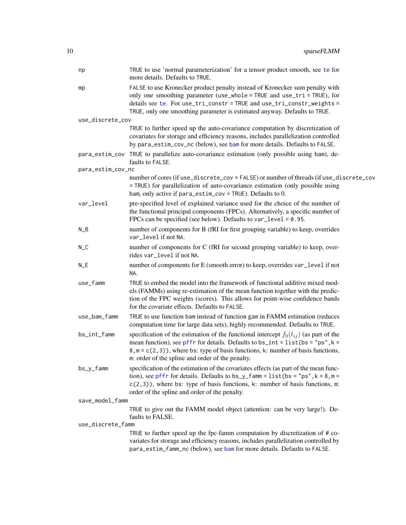<span id="page-9-0"></span>

| np                | TRUE to use 'normal parameterization' for a tensor product smooth, see te for<br>more details. Defaults to TRUE.                                                                                                                                                                                                          |
|-------------------|---------------------------------------------------------------------------------------------------------------------------------------------------------------------------------------------------------------------------------------------------------------------------------------------------------------------------|
| mp                | FALSE to use Kronecker product penalty instead of Kronecker sum penalty with<br>only one smoothing parameter (use_whole = TRUE and use_tri = TRUE), for<br>details see te. For use_tri_constr = TRUE and use_tri_constr_weights =<br>TRUE, only one smoothing parameter is estimated anyway. Defaults to TRUE.            |
| use_discrete_cov  |                                                                                                                                                                                                                                                                                                                           |
|                   | TRUE to further speed up the auto-covariance computation by discretization of<br>covariates for storage and efficiency reasons, includes parallelization controlled<br>by para_estim_cov_nc (below), see bam for more details. Defaults to FALSE.                                                                         |
|                   | para_estim_cov TRUE to parallelize auto-covariance estimation (only possible using bam), de-<br>faults to FALSE.                                                                                                                                                                                                          |
| para_estim_cov_nc |                                                                                                                                                                                                                                                                                                                           |
|                   | number of cores (if use_discrete_cov = FALSE) or number of threads (if use_discrete_cov<br>= TRUE) for parallelization of auto-covariance estimation (only possible using<br>bam, only active if $para\_estim\_cov = TRUE$ ). Defaults to 0.                                                                              |
| var_level         | pre-specified level of explained variance used for the choice of the number of<br>the functional principal components (FPCs). Alternatively, a specific number of<br>FPCs can be specified (see below). Defaults to $var\_level = 0.95$ .                                                                                 |
| $N_B$             | number of components for B (fRI for first grouping variable) to keep, overrides<br>var_level if not NA.                                                                                                                                                                                                                   |
| $N_C$             | number of components for C (fRI for second grouping variable) to keep, over-<br>rides var_level if not NA.                                                                                                                                                                                                                |
| $N_E$             | number of components for E (smooth error) to keep, overrides var_level if not<br>NA.                                                                                                                                                                                                                                      |
| use_famm          | TRUE to embed the model into the framework of functional additive mixed mod-<br>els (FAMMs) using re-estimation of the mean function together with the predic-<br>tion of the FPC weights (scores). This allows for point-wise confidence bands<br>for the covariate effects. Defaults to FALSE.                          |
| use_bam_famm      | TRUE to use function bam instead of function gam in FAMM estimation (reduces<br>computation time for large data sets), highly recommended. Defaults to TRUE.                                                                                                                                                              |
| bs_int_famm       | specification of the estimation of the functional intercept $f_0(t_{ij})$ (as part of the<br>mean function), see pffr for details. Defaults to bs_int = $list$ (bs = "ps", k =<br>$8, m = c(2, 3)$ , where bs: type of basis functions, k: number of basis functions,<br>m: order of the spline and order of the penalty. |
| $bs_y_f$ amm      | specification of the estimation of the covariates effects (as part of the mean func-<br>tion), see pffr for details. Defaults to $bs_y$ famm = list (bs = "ps", k = 8, m =<br>$c(2,3)$ ), where bs: type of basis functions, k: number of basis functions, m:<br>order of the spline and order of the penalty.            |
| save_model_famm   |                                                                                                                                                                                                                                                                                                                           |
|                   | TRUE to give out the FAMM model object (attention: can be very large!). De-<br>faults to FALSE.                                                                                                                                                                                                                           |
| use_discrete_famm |                                                                                                                                                                                                                                                                                                                           |
|                   | TRUE to further speed up the fpc-famm computation by discretization of # co-<br>variates for storage and efficiency reasons, includes parallelization controlled by<br>para_estim_famm_nc (below), see bam for more details. Defaults to FALSE.                                                                           |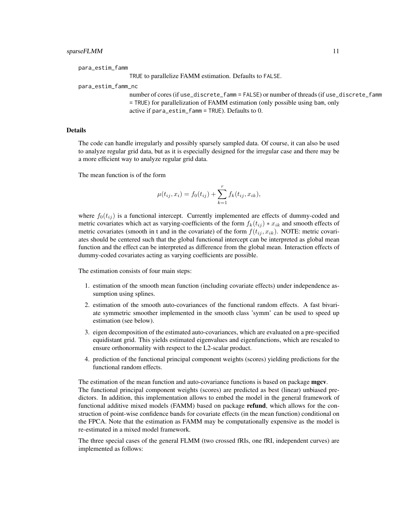para\_estim\_famm

TRUE to parallelize FAMM estimation. Defaults to FALSE.

#### para\_estim\_famm\_nc

number of cores (if use\_discrete\_famm = FALSE) or number of threads (if use\_discrete\_famm = TRUE) for parallelization of FAMM estimation (only possible using bam, only active if para\_estim\_famm = TRUE). Defaults to 0.

#### **Details**

The code can handle irregularly and possibly sparsely sampled data. Of course, it can also be used to analyze regular grid data, but as it is especially designed for the irregular case and there may be a more efficient way to analyze regular grid data.

The mean function is of the form

$$
\mu(t_{ij}, x_i) = f_0(t_{ij}) + \sum_{k=1}^r f_k(t_{ij}, x_{ik}),
$$

where  $f_0(t_{ij})$  is a functional intercept. Currently implemented are effects of dummy-coded and metric covariates which act as varying-coefficients of the form  $f_k(t_{ij}) * x_{ik}$  and smooth effects of metric covariates (smooth in t and in the covariate) of the form  $f(t_{ij}, x_{ik})$ . NOTE: metric covariates should be centered such that the global functional intercept can be interpreted as global mean function and the effect can be interpreted as difference from the global mean. Interaction effects of dummy-coded covariates acting as varying coefficients are possible.

The estimation consists of four main steps:

- 1. estimation of the smooth mean function (including covariate effects) under independence assumption using splines.
- 2. estimation of the smooth auto-covariances of the functional random effects. A fast bivariate symmetric smoother implemented in the smooth class 'symm' can be used to speed up estimation (see below).
- 3. eigen decomposition of the estimated auto-covariances, which are evaluated on a pre-specified equidistant grid. This yields estimated eigenvalues and eigenfunctions, which are rescaled to ensure orthonormality with respect to the L2-scalar product.
- 4. prediction of the functional principal component weights (scores) yielding predictions for the functional random effects.

The estimation of the mean function and auto-covariance functions is based on package mgcv. The functional principal component weights (scores) are predicted as best (linear) unbiased predictors. In addition, this implementation allows to embed the model in the general framework of functional additive mixed models (FAMM) based on package **refund**, which allows for the construction of point-wise confidence bands for covariate effects (in the mean function) conditional on the FPCA. Note that the estimation as FAMM may be computationally expensive as the model is re-estimated in a mixed model framework.

The three special cases of the general FLMM (two crossed fRIs, one fRI, independent curves) are implemented as follows: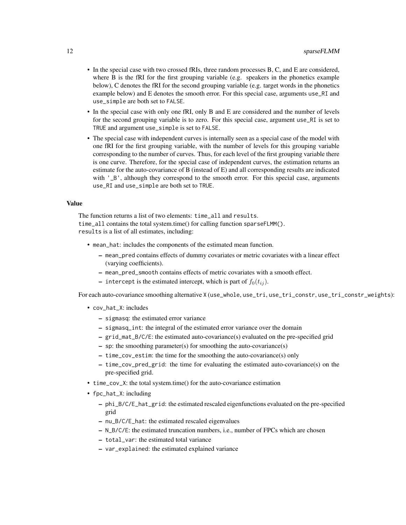- In the special case with two crossed fRIs, three random processes B, C, and E are considered, where B is the fRI for the first grouping variable (e.g. speakers in the phonetics example below), C denotes the fRI for the second grouping variable (e.g. target words in the phonetics example below) and E denotes the smooth error. For this special case, arguments use\_RI and use\_simple are both set to FALSE.
- In the special case with only one fRI, only B and E are considered and the number of levels for the second grouping variable is to zero. For this special case, argument use\_RI is set to TRUE and argument use\_simple is set to FALSE.
- The special case with independent curves is internally seen as a special case of the model with one fRI for the first grouping variable, with the number of levels for this grouping variable corresponding to the number of curves. Thus, for each level of the first grouping variable there is one curve. Therefore, for the special case of independent curves, the estimation returns an estimate for the auto-covariance of B (instead of E) and all corresponding results are indicated with '\_B', although they correspond to the smooth error. For this special case, arguments use\_RI and use\_simple are both set to TRUE.

#### Value

The function returns a list of two elements: time all and results. time\_all contains the total system.time() for calling function sparseFLMM(). results is a list of all estimates, including:

- mean\_hat: includes the components of the estimated mean function.
	- mean\_pred contains effects of dummy covariates or metric covariates with a linear effect (varying coefficients).
	- mean\_pred\_smooth contains effects of metric covariates with a smooth effect.
	- intercept is the estimated intercept, which is part of  $f_0(t_{ij})$ .

For each auto-covariance smoothing alternative X (use\_whole, use\_tri, use\_tri\_constr, use\_tri\_constr\_weights):

- cov\_hat\_X: includes
	- sigmasq: the estimated error variance
	- sigmasq\_int: the integral of the estimated error variance over the domain
	- grid\_mat\_B/C/E: the estimated auto-covariance(s) evaluated on the pre-specified grid
	- sp: the smoothing parameter(s) for smoothing the auto-covariance(s)
	- time\_cov\_estim: the time for the smoothing the auto-covariance(s) only
	- time\_cov\_pred\_grid: the time for evaluating the estimated auto-covariance(s) on the pre-specified grid.
- time\_cov\_X: the total system.time() for the auto-covariance estimation
- fpc\_hat\_X: including
	- phi\_B/C/E\_hat\_grid: the estimated rescaled eigenfunctions evaluated on the pre-specified grid
	- nu\_B/C/E\_hat: the estimated rescaled eigenvalues
	- N\_B/C/E: the estimated truncation numbers, i.e., number of FPCs which are chosen
	- total\_var: the estimated total variance
	- var\_explained: the estimated explained variance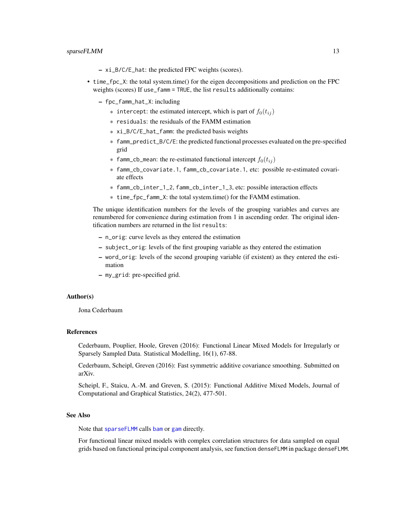- <span id="page-12-0"></span>– xi\_B/C/E\_hat: the predicted FPC weights (scores).
- time\_fpc\_X: the total system.time() for the eigen decompositions and prediction on the FPC weights (scores) If use\_famm = TRUE, the list results additionally contains:
	- fpc\_famm\_hat\_X: including
		- \* intercept: the estimated intercept, which is part of  $f_0(t_{ij})$
		- \* residuals: the residuals of the FAMM estimation
		- \* xi\_B/C/E\_hat\_famm: the predicted basis weights
		- \* famm\_predict\_B/C/E: the predicted functional processes evaluated on the pre-specified grid
		- \* famm\_cb\_mean: the re-estimated functional intercept  $f_0(t_{ij})$
		- \* famm\_cb\_covariate.1, famm\_cb\_covariate.1, etc: possible re-estimated covariate effects
		- \* famm\_cb\_inter\_1\_2, famm\_cb\_inter\_1\_3, etc: possible interaction effects
		- \* time\_fpc\_famm\_X: the total system.time() for the FAMM estimation.

The unique identification numbers for the levels of the grouping variables and curves are renumbered for convenience during estimation from 1 in ascending order. The original identification numbers are returned in the list results:

- n\_orig: curve levels as they entered the estimation
- subject\_orig: levels of the first grouping variable as they entered the estimation
- word\_orig: levels of the second grouping variable (if existent) as they entered the estimation
- my\_grid: pre-specified grid.

#### Author(s)

Jona Cederbaum

#### References

Cederbaum, Pouplier, Hoole, Greven (2016): Functional Linear Mixed Models for Irregularly or Sparsely Sampled Data. Statistical Modelling, 16(1), 67-88.

Cederbaum, Scheipl, Greven (2016): Fast symmetric additive covariance smoothing. Submitted on arXiv.

Scheipl, F., Staicu, A.-M. and Greven, S. (2015): Functional Additive Mixed Models, Journal of Computational and Graphical Statistics, 24(2), 477-501.

#### See Also

Note that [sparseFLMM](#page-5-1) calls [bam](#page-0-0) or [gam](#page-0-0) directly.

For functional linear mixed models with complex correlation structures for data sampled on equal grids based on functional principal component analysis, see function denseFLMM in package denseFLMM.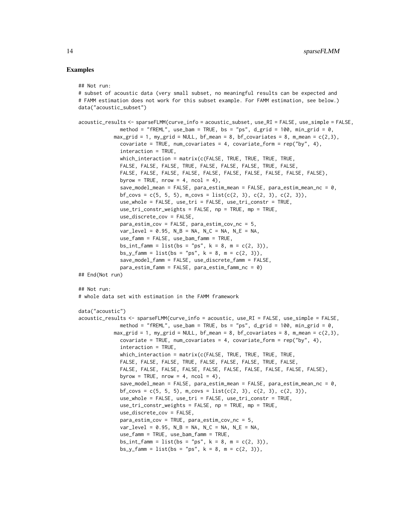#### Examples

```
## Not run:
```

```
# subset of acoustic data (very small subset, no meaningful results can be expected and
# FAMM estimation does not work for this subset example. For FAMM estimation, see below.)
data("acoustic_subset")
acoustic_results <- sparseFLMM(curve_info = acoustic_subset, use_RI = FALSE, use_simple = FALSE,
              method = "fREML", use_bam = TRUE, bs = "ps", d_grid = 100, min_grid = 0,
            max_grid = 1, my_grid = NULL, bf_mean = 8, bf_covariates = 8, m_mean = c(2,3),
              covariate = TRUE, num_covariates = 4, covariate_form = rep("by", 4),
              interaction = TRUE,
              which_interaction = matrix(c(FALSE, TRUE, TRUE, TRUE, TRUE,
              FALSE, FALSE, FALSE, TRUE, FALSE, FALSE, FALSE, TRUE, FALSE,
              FALSE, FALSE, FALSE, FALSE, FALSE, FALSE, FALSE, FALSE, FALSE, FALSE),
              byrow = TRUE, nrow = 4, ncol = 4),
              save_model_mean = FALSE, para_estim_mean = FALSE, para_estim_mean_nc = 0,
              bf_{covs} = c(5, 5, 5), m_{covs} = list(c(2, 3), c(2, 3), c(2, 3)),use_whole = FALSE, use_tri = FALSE, use_tri_constr = TRUE,
              use_tri_constr_weights = FALSE, np = TRUE, mp = TRUE,
              use_discrete_cov = FALSE,
              para_estim_cov = FALSE, para_estim_cov_nc = 5,
              var\_level = 0.95, N_B = NA, N_C = NA, N_E = NA,
              use_famm = FALSE, use_bam_famm = TRUE,
              bs\_int_{\text{f}} = list(bs = "ps", k = 8, m = c(2, 3)),bs_y_famm = list(bs = "ps", k = 8, m = c(2, 3)),
              save_model_famm = FALSE, use_discrete_famm = FALSE,
              para_estim_famm = FALSE, para_estim_famm_nc = 0)
## End(Not run)
## Not run:
# whole data set with estimation in the FAMM framework
data("acoustic")
acoustic_results <- sparseFLMM(curve_info = acoustic, use_RI = FALSE, use_simple = FALSE,
              method = "fREML", use_bam = TRUE, bs = "ps", d_grid = 100, min_grid = 0,
            max\_grid = 1, my\_grid = NULL, bf_m = 8, bf\_covariates = 8, m_m = c(2,3),
              covariate = TRUE, num_covariates = 4, covariate_form = rep("by", 4),
              interaction = TRUE,
              which_interaction = matrix(c(FALSE, TRUE, TRUE, TRUE, TRUE,
              FALSE, FALSE, FALSE, TRUE, FALSE, FALSE, FALSE, TRUE, FALSE,
              FALSE, FALSE, FALSE, FALSE, FALSE, FALSE, FALSE, FALSE, FALSE, FALSE),
              byrow = TRUE, nrow = 4, ncol = 4),
              save_model_mean = FALSE, para_estim_mean = FALSE, para_estim_mean_nc = 0,
              bf_{covs} = c(5, 5, 5), m<sub>c</sub>covs = list(c(2, 3), c(2, 3), c(2, 3)),
              use_whole = FALSE, use_tri = FALSE, use_tri_constr = TRUE,
              use_tri_constr_weights = FALSE, np = TRUE, mp = TRUE,
              use_discrete_cov = FALSE,
              para_estim_cov = TRUE, para_estim_cov_nc = 5,
              var\_level = 0.95, N_B = NA, N_C = NA, N_E = NA,
              use_famm = TRUE, use_bam_famm = TRUE,
              bs\_int_{amm} = list(bs = "ps", k = 8, m = c(2, 3)),bs_y_famm = list(bs = "ps", k = 8, m = c(2, 3)),
```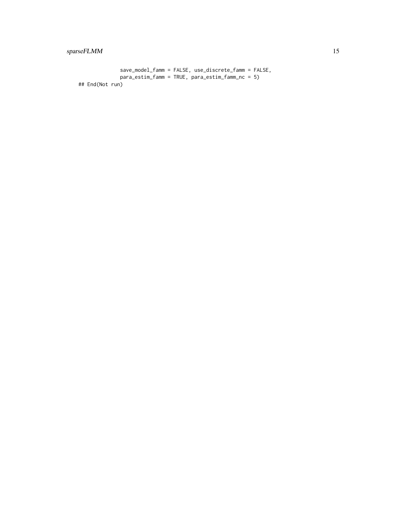#### sparseFLMM 15

```
save_model_famm = FALSE, use_discrete_famm = FALSE,
             para_estim_famm = TRUE, para_estim_famm_nc = 5)
## End(Not run)
```